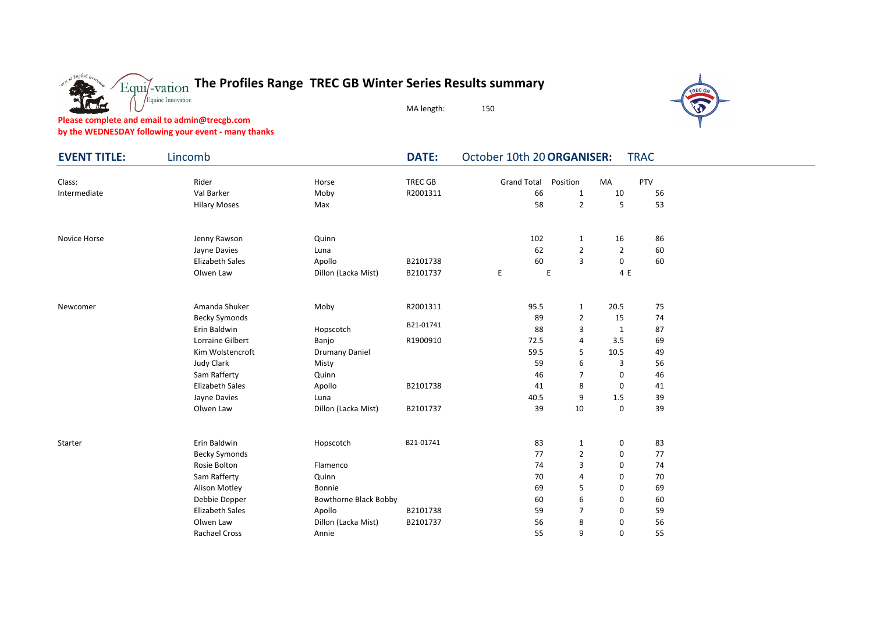

MA length: 150

**Please complete and email to admin@trecgb.com**

c nalish

**by the WEDNESDAY following your event - many thanks**

Equine Innovation

| <b>EVENT TITLE:</b> | Lincomb                |                       | <b>DATE:</b>   | October 10th 20 ORGANISER:<br><b>TRAC</b> |                |                |            |  |  |  |  |  |
|---------------------|------------------------|-----------------------|----------------|-------------------------------------------|----------------|----------------|------------|--|--|--|--|--|
| Class:              | Rider                  | Horse                 | <b>TREC GB</b> | <b>Grand Total</b>                        | Position       | <b>MA</b>      | <b>PTV</b> |  |  |  |  |  |
| Intermediate        | Val Barker             | Moby                  | R2001311       | 66                                        | $\mathbf{1}$   | 10             | 56         |  |  |  |  |  |
|                     | <b>Hilary Moses</b>    | Max                   |                | 58                                        | $\overline{2}$ | 5              | 53         |  |  |  |  |  |
| Novice Horse        | Jenny Rawson           | Quinn                 |                | 102                                       | $\mathbf{1}$   | 16             | 86         |  |  |  |  |  |
|                     | Jayne Davies           | Luna                  |                | 62                                        | $\overline{2}$ | $\overline{2}$ | 60         |  |  |  |  |  |
|                     | <b>Elizabeth Sales</b> | Apollo                | B2101738       | 60                                        | 3              | 0              | 60         |  |  |  |  |  |
|                     | Olwen Law              | Dillon (Lacka Mist)   | B2101737       | E                                         | E              | 4 E            |            |  |  |  |  |  |
| Newcomer            | Amanda Shuker          | Moby                  | R2001311       | 95.5                                      | $\mathbf{1}$   | 20.5           | 75         |  |  |  |  |  |
|                     | <b>Becky Symonds</b>   |                       |                | 89                                        | $\overline{2}$ | 15             | 74         |  |  |  |  |  |
|                     | Erin Baldwin           | Hopscotch             | B21-01741      | 88                                        | 3              | $\mathbf{1}$   | 87         |  |  |  |  |  |
|                     | Lorraine Gilbert       | Banjo                 | R1900910       | 72.5                                      | 4              | 3.5            | 69         |  |  |  |  |  |
|                     | Kim Wolstencroft       | <b>Drumany Daniel</b> |                | 59.5                                      | 5              | 10.5           | 49         |  |  |  |  |  |
|                     | <b>Judy Clark</b>      | Misty                 |                | 59                                        | 6              | 3              | 56         |  |  |  |  |  |
|                     | Sam Rafferty           | Quinn                 |                | 46                                        | $\overline{7}$ | 0              | 46         |  |  |  |  |  |
|                     | <b>Elizabeth Sales</b> | Apollo                | B2101738       | 41                                        | 8              | 0              | 41         |  |  |  |  |  |
|                     | Jayne Davies           | Luna                  |                | 40.5                                      | 9              | 1.5            | 39         |  |  |  |  |  |
|                     | Olwen Law              | Dillon (Lacka Mist)   | B2101737       | 39                                        | 10             | 0              | 39         |  |  |  |  |  |
| Starter             | Erin Baldwin           | Hopscotch             | B21-01741      | 83                                        | $\mathbf{1}$   | 0              | 83         |  |  |  |  |  |
|                     | <b>Becky Symonds</b>   |                       |                | 77                                        | $\overline{2}$ | 0              | 77         |  |  |  |  |  |
|                     | Rosie Bolton           | Flamenco              |                | 74                                        | 3              | 0              | 74         |  |  |  |  |  |
|                     | Sam Rafferty           | Quinn                 |                | 70                                        | 4              | $\mathbf 0$    | 70         |  |  |  |  |  |
|                     | Alison Motley          | Bonnie                |                | 69                                        | 5              | $\mathbf 0$    | 69         |  |  |  |  |  |
|                     | Debbie Depper          | Bowthorne Black Bobby |                | 60                                        | 6              | 0              | 60         |  |  |  |  |  |
|                     | <b>Elizabeth Sales</b> | Apollo                | B2101738       | 59                                        | $\overline{7}$ | $\mathbf 0$    | 59         |  |  |  |  |  |
|                     | Olwen Law              | Dillon (Lacka Mist)   | B2101737       | 56                                        | 8              | $\mathbf 0$    | 56         |  |  |  |  |  |
|                     | <b>Rachael Cross</b>   | Annie                 |                | 55                                        | 9              | 0              | 55         |  |  |  |  |  |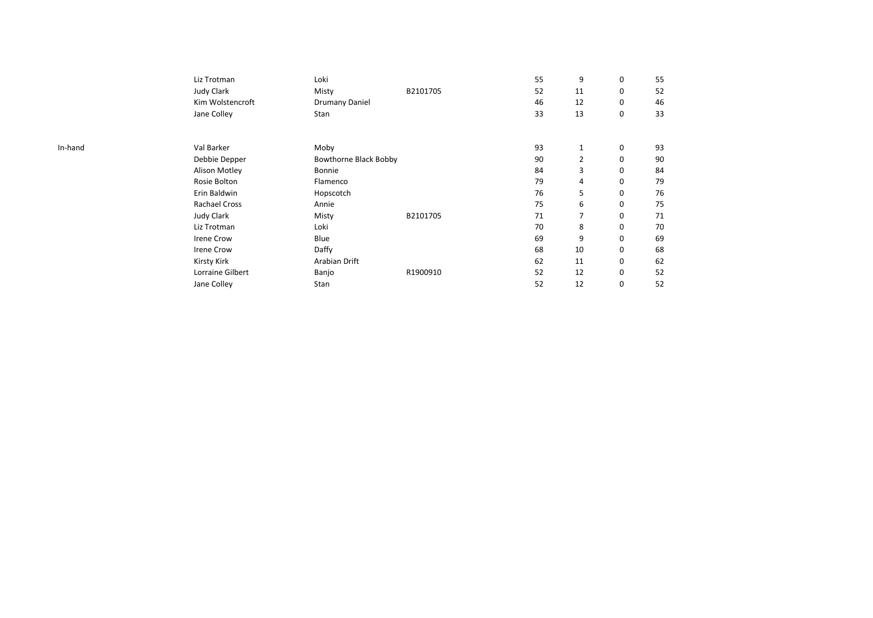|         | Liz Trotman       | Loki                  |          | 55 | 9              | 0           | 55 |
|---------|-------------------|-----------------------|----------|----|----------------|-------------|----|
|         | <b>Judy Clark</b> | Misty                 | B2101705 | 52 | 11             | 0           | 52 |
|         | Kim Wolstencroft  | Drumany Daniel        |          | 46 | 12             | 0           | 46 |
|         | Jane Colley       | Stan                  |          | 33 | 13             | 0           | 33 |
| In-hand | Val Barker        | Moby                  |          | 93 | 1              | 0           | 93 |
|         | Debbie Depper     | Bowthorne Black Bobby |          | 90 | $\overline{2}$ | 0           | 90 |
|         | Alison Motley     | Bonnie                |          | 84 | 3              | 0           | 84 |
|         | Rosie Bolton      | Flamenco              |          | 79 | 4              | 0           | 79 |
|         | Erin Baldwin      | Hopscotch             |          | 76 | 5              | 0           | 76 |
|         | Rachael Cross     | Annie                 |          | 75 | 6              | 0           | 75 |
|         | <b>Judy Clark</b> | Misty                 | B2101705 | 71 | 7              | 0           | 71 |
|         | Liz Trotman       | Loki                  |          | 70 | 8              | 0           | 70 |
|         | <b>Irene Crow</b> | Blue                  |          | 69 | 9              | $\mathbf 0$ | 69 |
|         | <b>Irene Crow</b> | Daffy                 |          | 68 | 10             | 0           | 68 |
|         | Kirsty Kirk       | Arabian Drift         |          | 62 | 11             | $\mathbf 0$ | 62 |
|         | Lorraine Gilbert  | Banjo                 | R1900910 | 52 | 12             | 0           | 52 |
|         | Jane Colley       | Stan                  |          | 52 | 12             | 0           | 52 |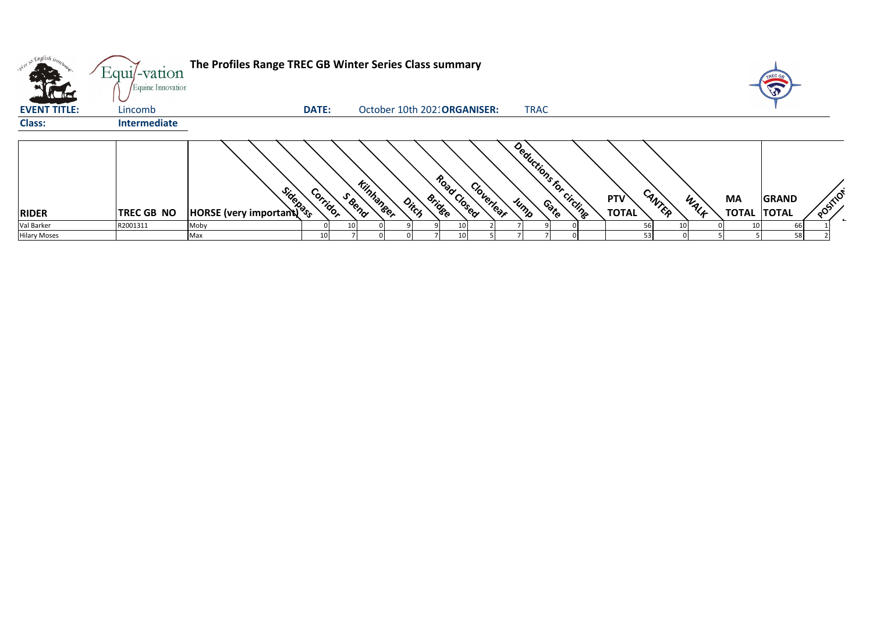| <b>All Dealers</b>                 | Equi/-vation                 | The Profiles Range TREC GB Winter Series Class summary                                                                                                                                                                               |              |                             |                                       |            |                         |     |                        |      |                                 |              |          |
|------------------------------------|------------------------------|--------------------------------------------------------------------------------------------------------------------------------------------------------------------------------------------------------------------------------------|--------------|-----------------------------|---------------------------------------|------------|-------------------------|-----|------------------------|------|---------------------------------|--------------|----------|
| <b>KLAE</b><br><b>EVENT TITLE:</b> | Equine Innovation<br>Lincomb |                                                                                                                                                                                                                                      | <b>DATE:</b> |                             | October 10th 202: ORGANISER:          |            | <b>TRAC</b>             |     |                        |      |                                 | TREC GB      |          |
| <b>Class:</b>                      | Intermediate                 |                                                                                                                                                                                                                                      |              |                             |                                       |            |                         |     |                        |      |                                 |              |          |
| <b>RIDER</b>                       | <b>TREC GB NO</b>            | <b>Contract Control Control Contract Contract Contract Contract Contract Contract Contract Contract Contract Contract Contract Contract Contract Contract Contract Contract Contract Contract Contract Contract Contract Contrac</b> | Corridor     | <b>Kilphaneer</b><br>S Bend | Road Closed<br><b>Bridge</b><br>Ditch | Cloverlear | Deductions for circling | PTV | CANTER<br><b>TOTAL</b> | WALF | <b>MA</b><br><b>TOTAL TOTAL</b> | <b>GRAND</b> | POSITION |
| Val Barker                         | R2001311                     | Moby                                                                                                                                                                                                                                 |              |                             |                                       |            |                         |     |                        |      |                                 | 66           |          |
| <b>Hilary Moses</b>                |                              | Max                                                                                                                                                                                                                                  |              |                             |                                       |            |                         |     |                        |      |                                 | 58           |          |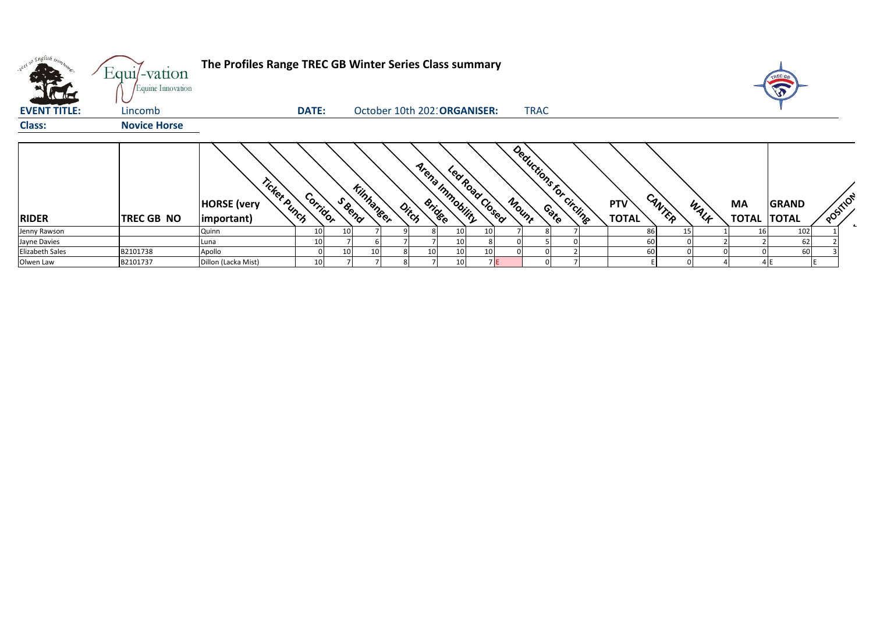| what so English trong               | Equi/-vation                 | The Profiles Range TREC GB Winter Series Class summary  |              |        |                  |                              |    |                                     |    |       |                         |  |                     |        |      |    | TREC GB                            |          |  |
|-------------------------------------|------------------------------|---------------------------------------------------------|--------------|--------|------------------|------------------------------|----|-------------------------------------|----|-------|-------------------------|--|---------------------|--------|------|----|------------------------------------|----------|--|
| <b>Allah</b><br><b>EVENT TITLE:</b> | Equine Innovation<br>Lincomb |                                                         | <b>DATE:</b> |        |                  | October 10th 202: ORGANISER: |    |                                     |    |       | <b>TRAC</b>             |  |                     |        |      |    | E                                  |          |  |
| <b>Class:</b>                       | <b>Novice Horse</b>          |                                                         |              |        |                  |                              |    |                                     |    |       |                         |  |                     |        |      |    |                                    |          |  |
| <b>RIDER</b>                        | <b>TREC GB NO</b>            | Ticket Punch<br><b>HORSE</b> (very<br>$ $ important $ $ | Corridor     | S Bend | <b>Kinhanger</b> | Ditch                        |    | Arena Immobility<br>Led Road Closed |    | Mount | Deductions for Circline |  | PTV<br><b>TOTAL</b> | CANTER | WALK | MA | <b>GRAND</b><br><b>TOTAL TOTAL</b> | POSTIICA |  |
| Jenny Rawson                        |                              | Quinn                                                   |              | 10     |                  |                              |    | 10 <sub>l</sub>                     | 10 |       |                         |  |                     | 86     | 15   | 16 | 102                                |          |  |
| Jayne Davies                        |                              | Luna                                                    |              |        |                  |                              |    | 10 <sup>1</sup>                     |    |       |                         |  |                     | 60     |      |    | 62                                 |          |  |
| <b>Elizabeth Sales</b>              | B2101738                     | Apollo                                                  |              | 10     | 10               |                              | 10 | 10 <sup>1</sup>                     | 10 |       |                         |  |                     | 60     |      |    | 60                                 |          |  |
| Olwen Law                           | B2101737                     | Dillon (Lacka Mist)                                     |              |        |                  |                              |    | 10                                  |    | 7 E   |                         |  |                     |        |      |    |                                    |          |  |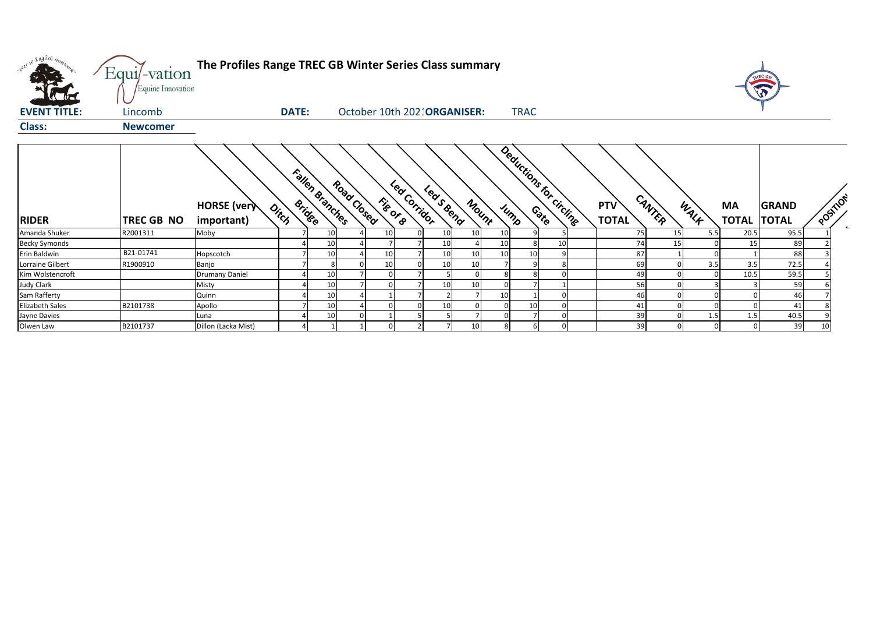| where so English trong | Equi/-vation      | The Profiles Range TREC GB Winter Series Class summary       |                                |                           |                              |    |                         |                     |    |                 |      |                    |                              |          |                          |
|------------------------|-------------------|--------------------------------------------------------------|--------------------------------|---------------------------|------------------------------|----|-------------------------|---------------------|----|-----------------|------|--------------------|------------------------------|----------|--------------------------|
|                        | Equine Innovation |                                                              |                                |                           |                              |    |                         |                     |    |                 |      |                    |                              |          |                          |
| <b>EVENT TITLE:</b>    | Lincomb           | <b>DATE:</b>                                                 |                                |                           | October 10th 202: ORGANISER: |    | <b>TRAC</b>             |                     |    |                 |      |                    |                              |          |                          |
| <b>Class:</b>          | <b>Newcomer</b>   |                                                              |                                |                           |                              |    |                         |                     |    |                 |      |                    |                              |          |                          |
| <b>RIDER</b>           | TREC GB NO        | <b>HORSE</b> (very<br>$o_{i_{\zeta_{\zeta}} }$<br>important) | Fallen Branches<br>Road Closed | Led Corridor<br>File OF B | Leasena<br>Mount             |    | Deductions for circline | PTV<br><b>TOTAL</b> |    | CANTER          | WALK | MA<br><b>TOTAL</b> | <b>GRAND</b><br><b>TOTAL</b> | POSITION | $\overline{\phantom{a}}$ |
| Amanda Shuker          | R2001311          | Moby                                                         | 10                             | 10                        | 10 <sup>1</sup><br>10        | 10 |                         |                     | 75 | <b>15</b>       | 5.5  | 20.5               | 95.5                         |          |                          |
| <b>Becky Symonds</b>   |                   |                                                              | 10                             |                           | 10                           | 10 | 10                      |                     | 74 | 15 <sup>1</sup> |      | 15                 | 89                           |          |                          |
| Erin Baldwin           | B21-01741         | Hopscotch                                                    | 10                             | 10                        | 10<br>10                     |    | 10<br>$\Omega$          |                     | 87 |                 |      |                    | 88                           |          |                          |
| Lorraine Gilbert       | R1900910          | Banjo                                                        |                                | 10                        | 10 <sup>1</sup><br>10        |    | 8                       |                     | 69 |                 | 3.5  | 3.5                | 72.5                         |          |                          |
| Kim Wolstencroft       |                   | <b>Drumany Daniel</b>                                        | 10                             |                           |                              |    |                         |                     | 49 |                 |      | 10.5               | 59.5                         |          |                          |
| <b>Judy Clark</b>      |                   | Misty                                                        | 10                             |                           | 10 <sup>1</sup><br>10        |    |                         |                     | 56 |                 |      |                    | 59                           |          |                          |
| Sam Rafferty           |                   | Quinn                                                        | 10                             |                           |                              |    |                         |                     | 46 |                 |      |                    | 46                           |          |                          |
| <b>Elizabeth Sales</b> | B2101738          | Apollo                                                       | 10                             |                           | 10                           |    | 10                      |                     | 41 |                 |      |                    | 41                           |          |                          |
| Jayne Davies           |                   | Luna                                                         | 10                             |                           |                              |    |                         |                     | 39 |                 | 1.5  | 1.5                | 40.5                         |          |                          |
| Olwen Law              | B2101737          | Dillon (Lacka Mist)                                          |                                |                           | 10                           |    |                         |                     | 39 |                 |      |                    | 39                           | 10       |                          |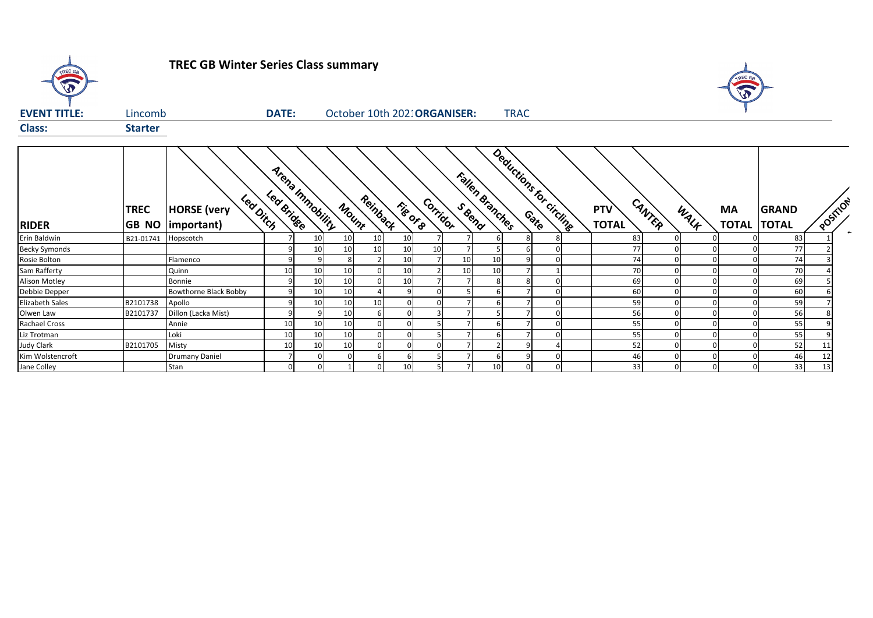